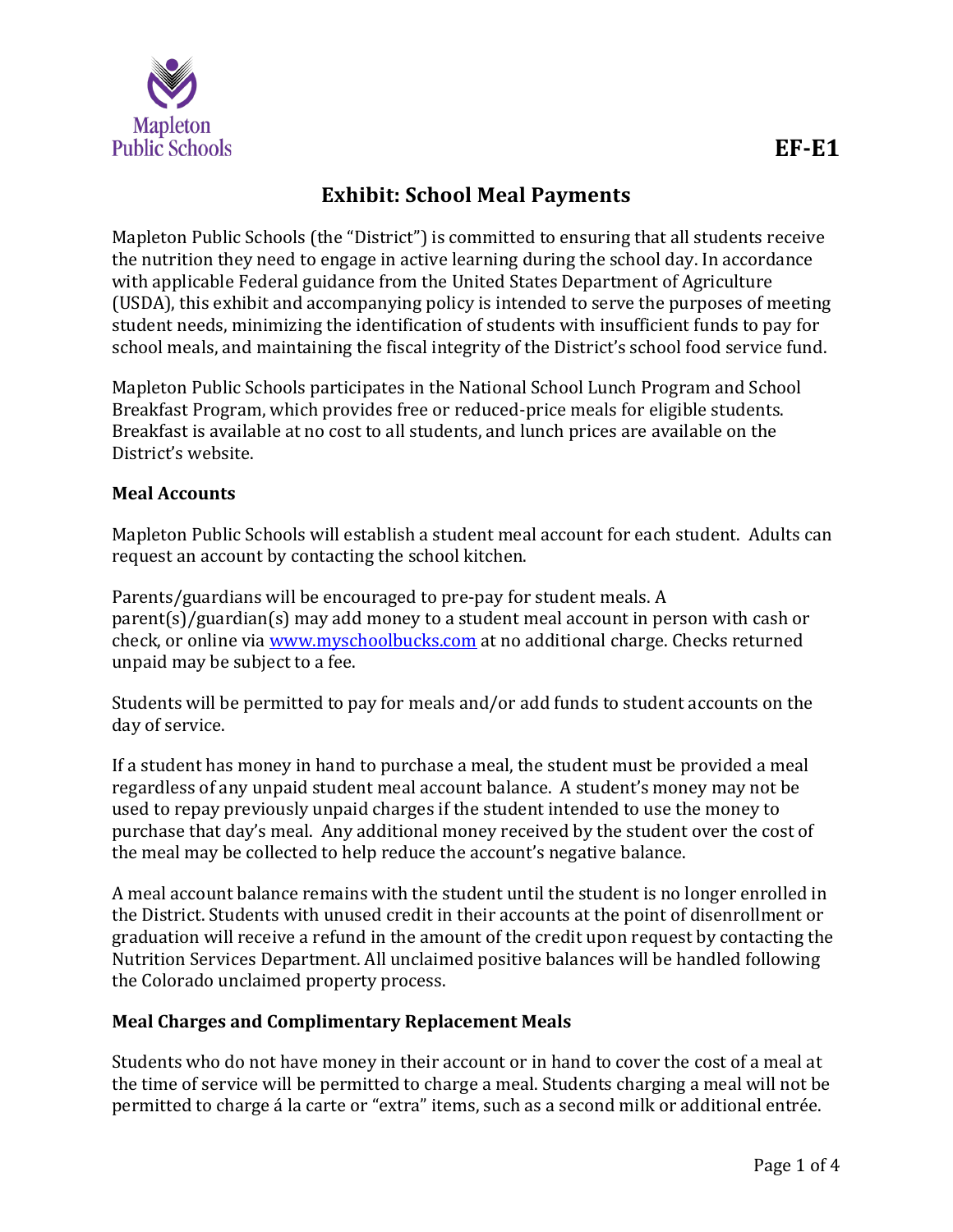

# **Exhibit: School Meal Payments**

Mapleton Public Schools (the "District") is committed to ensuring that all students receive the nutrition they need to engage in active learning during the school day. In accordance with applicable Federal guidance from the United States Department of Agriculture (USDA), this exhibit and accompanying policy is intended to serve the purposes of meeting student needs, minimizing the identification of students with insufficient funds to pay for school meals, and maintaining the fiscal integrity of the District's school food service fund.

Mapleton Public Schools participates in the National School Lunch Program and School Breakfast Program, which provides free or reduced-price meals for eligible students. Breakfast is available at no cost to all students, and lunch prices are available on the District's website.

### **Meal Accounts**

Mapleton Public Schools will establish a student meal account for each student. Adults can request an account by contacting the school kitchen.

Parents/guardians will be encouraged to pre-pay for student meals. A parent(s)/guardian(s) may add money to a student meal account in person with cash or check, or online via [www.myschoolbucks.com](http://www.myschoolbucks.com/) at no additional charge. Checks returned unpaid may be subject to a fee.

Students will be permitted to pay for meals and/or add funds to student accounts on the day of service.

If a student has money in hand to purchase a meal, the student must be provided a meal regardless of any unpaid student meal account balance. A student's money may not be used to repay previously unpaid charges if the student intended to use the money to purchase that day's meal. Any additional money received by the student over the cost of the meal may be collected to help reduce the account's negative balance.

A meal account balance remains with the student until the student is no longer enrolled in the District. Students with unused credit in their accounts at the point of disenrollment or graduation will receive a refund in the amount of the credit upon request by contacting the Nutrition Services Department. All unclaimed positive balances will be handled following the Colorado unclaimed property process.

### **Meal Charges and Complimentary Replacement Meals**

Students who do not have money in their account or in hand to cover the cost of a meal at the time of service will be permitted to charge a meal. Students charging a meal will not be permitted to charge á la carte or "extra" items, such as a second milk or additional entrée.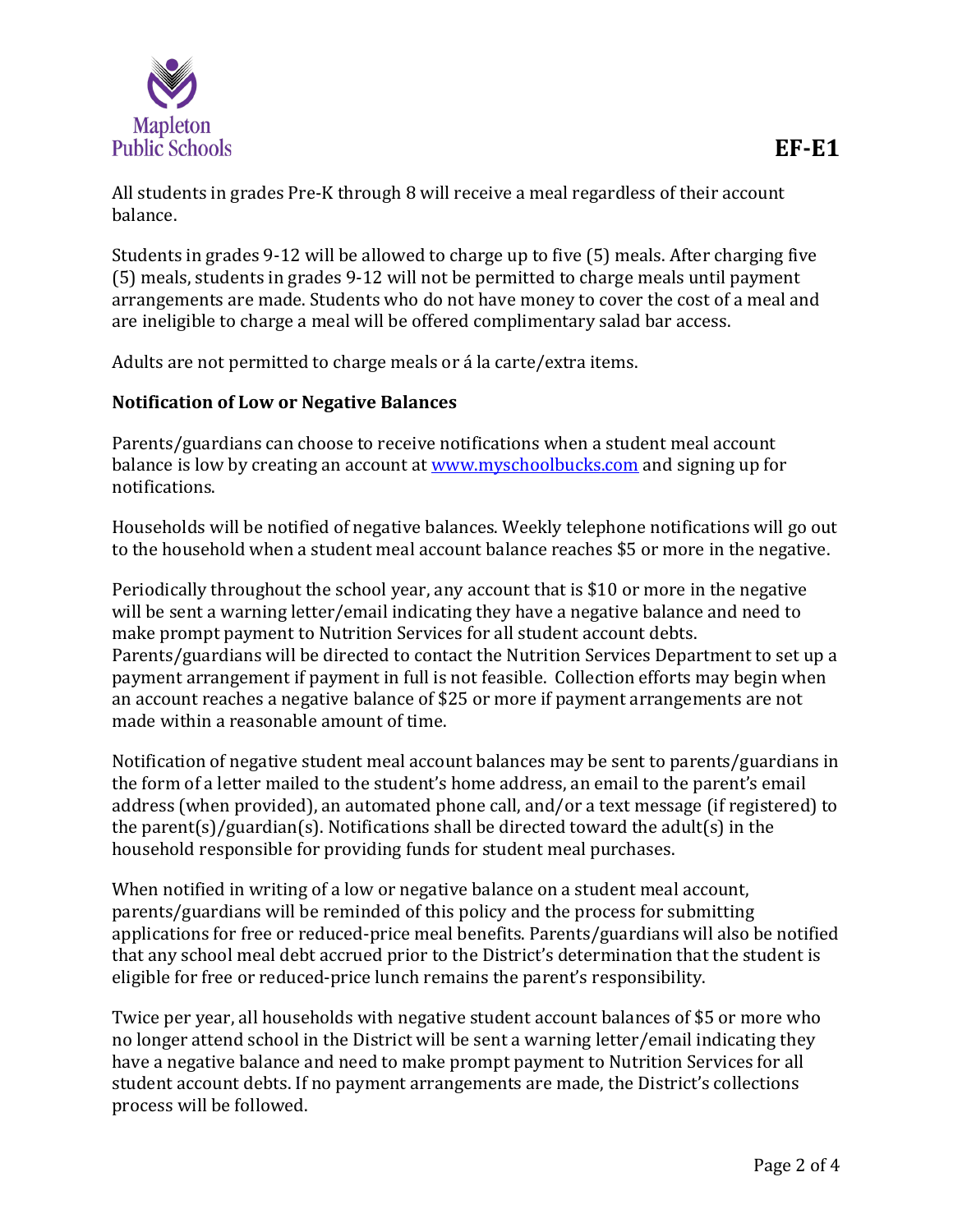

All students in grades Pre-K through 8 will receive a meal regardless of their account balance.

Students in grades 9-12 will be allowed to charge up to five (5) meals. After charging five (5) meals, students in grades 9-12 will not be permitted to charge meals until payment arrangements are made. Students who do not have money to cover the cost of a meal and are ineligible to charge a meal will be offered complimentary salad bar access.

Adults are not permitted to charge meals or á la carte/extra items.

### **Notification of Low or Negative Balances**

Parents/guardians can choose to receive notifications when a student meal account balance is low by creating an account at [www.myschoolbucks.com](http://www.myschoolbucks.com/) and signing up for notifications.

Households will be notified of negative balances. Weekly telephone notifications will go out to the household when a student meal account balance reaches \$5 or more in the negative.

Periodically throughout the school year, any account that is \$10 or more in the negative will be sent a warning letter/email indicating they have a negative balance and need to make prompt payment to Nutrition Services for all student account debts. Parents/guardians will be directed to contact the Nutrition Services Department to set up a payment arrangement if payment in full is not feasible. Collection efforts may begin when an account reaches a negative balance of \$25 or more if payment arrangements are not made within a reasonable amount of time.

Notification of negative student meal account balances may be sent to parents/guardians in the form of a letter mailed to the student's home address, an email to the parent's email address (when provided), an automated phone call, and/or a text message (if registered) to the parent(s)/guardian(s). Notifications shall be directed toward the adult(s) in the household responsible for providing funds for student meal purchases.

When notified in writing of a low or negative balance on a student meal account, parents/guardians will be reminded of this policy and the process for submitting applications for free or reduced-price meal benefits. Parents/guardians will also be notified that any school meal debt accrued prior to the District's determination that the student is eligible for free or reduced-price lunch remains the parent's responsibility.

Twice per year, all households with negative student account balances of \$5 or more who no longer attend school in the District will be sent a warning letter/email indicating they have a negative balance and need to make prompt payment to Nutrition Services for all student account debts. If no payment arrangements are made, the District's collections process will be followed.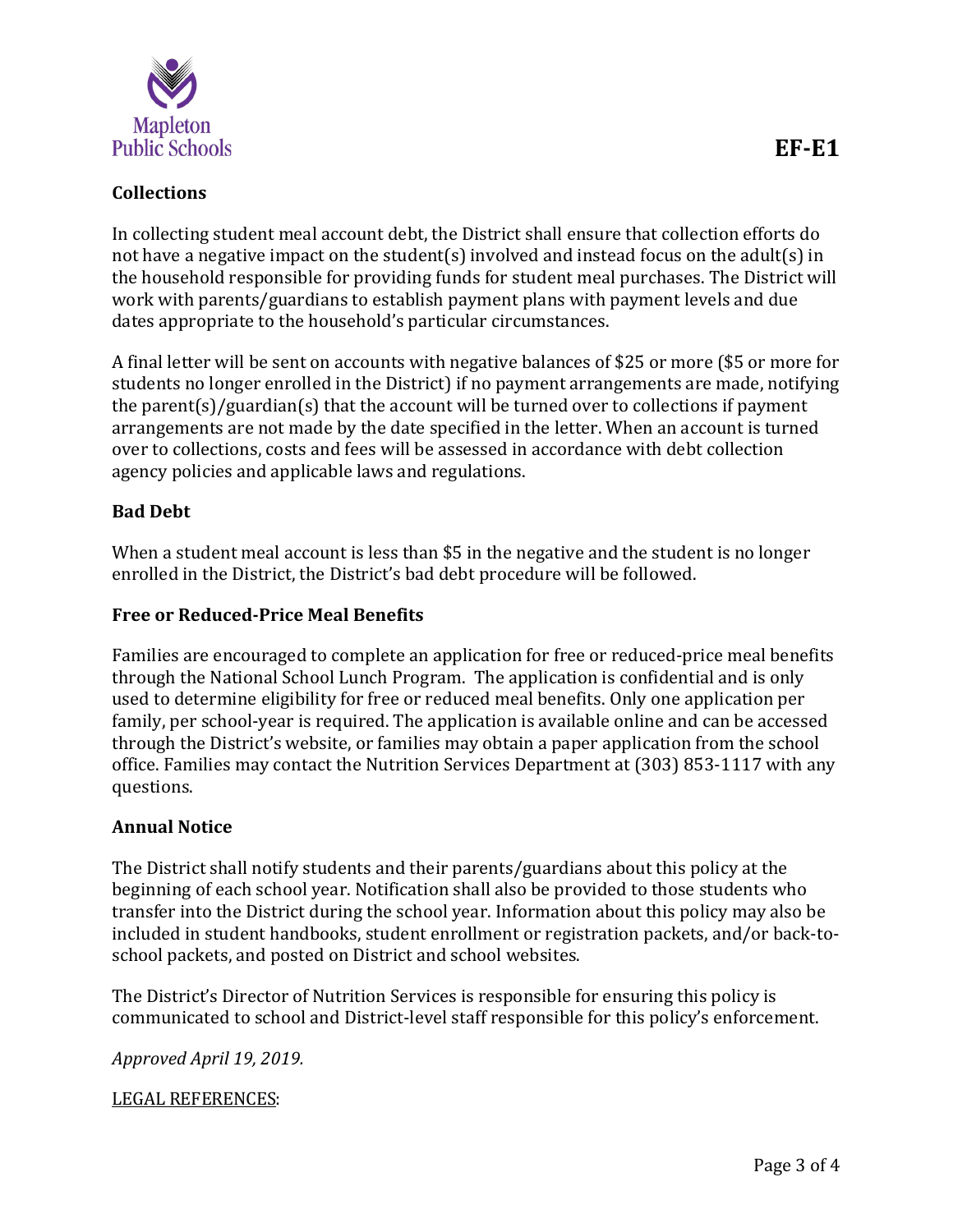

## **Collections**

In collecting student meal account debt, the District shall ensure that collection efforts do not have a negative impact on the student(s) involved and instead focus on the adult(s) in the household responsible for providing funds for student meal purchases. The District will work with parents/guardians to establish payment plans with payment levels and due dates appropriate to the household's particular circumstances.

A final letter will be sent on accounts with negative balances of \$25 or more (\$5 or more for students no longer enrolled in the District) if no payment arrangements are made, notifying the parent(s)/guardian(s) that the account will be turned over to collections if payment arrangements are not made by the date specified in the letter. When an account is turned over to collections, costs and fees will be assessed in accordance with debt collection agency policies and applicable laws and regulations.

#### **Bad Debt**

When a student meal account is less than \$5 in the negative and the student is no longer enrolled in the District, the District's bad debt procedure will be followed.

### **Free or Reduced-Price Meal Benefits**

Families are encouraged to complete an application for free or reduced-price meal benefits through the National School Lunch Program. The application is confidential and is only used to determine eligibility for free or reduced meal benefits. Only one application per family, per school-year is required. The application is available online and can be accessed through the District's website, or families may obtain a paper application from the school office. Families may contact the Nutrition Services Department at (303) 853-1117 with any questions.

#### **Annual Notice**

The District shall notify students and their parents/guardians about this policy at the beginning of each school year. Notification shall also be provided to those students who transfer into the District during the school year. Information about this policy may also be included in student handbooks, student enrollment or registration packets, and/or back-toschool packets, and posted on District and school websites.

The District's Director of Nutrition Services is responsible for ensuring this policy is communicated to school and District-level staff responsible for this policy's enforcement.

*Approved April 19, 2019.*

LEGAL REFERENCES: